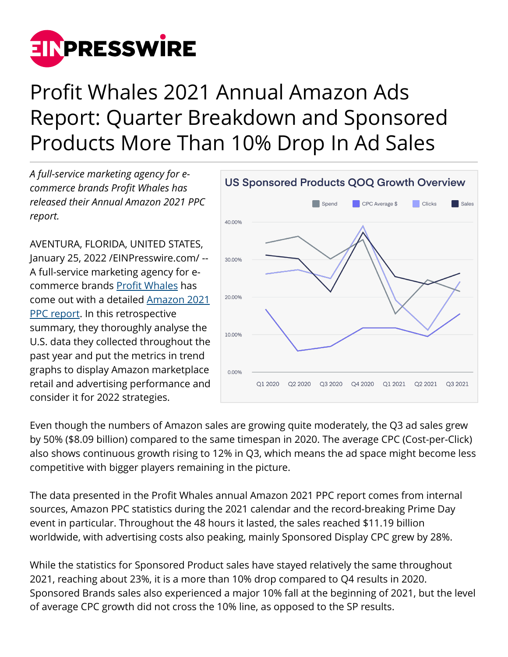

## Profit Whales 2021 Annual Amazon Ads Report: Quarter Breakdown and Sponsored Products More Than 10% Drop In Ad Sales

*A full-service marketing agency for ecommerce brands Profit Whales has released their Annual Amazon 2021 PPC report.*

AVENTURA, FLORIDA, UNITED STATES, January 25, 2022 /[EINPresswire.com](http://www.einpresswire.com)/ -- A full-service marketing agency for ecommerce brands [Profit Whales](https://profitwhales.com) has come out with a detailed [Amazon 2021](https://profitwhales.com/archives/guides/annual-amazon-ppc-report) [PPC report](https://profitwhales.com/archives/guides/annual-amazon-ppc-report). In this retrospective summary, they thoroughly analyse the U.S. data they collected throughout the past year and put the metrics in trend graphs to display Amazon marketplace retail and advertising performance and consider it for 2022 strategies.



Even though the numbers of Amazon sales are growing quite moderately, the Q3 ad sales grew by 50% (\$8.09 billion) compared to the same timespan in 2020. The average CPC (Cost-per-Click) also shows continuous growth rising to 12% in Q3, which means the ad space might become less competitive with bigger players remaining in the picture.

The data presented in the Profit Whales annual Amazon 2021 PPC report comes from internal sources, Amazon PPC statistics during the 2021 calendar and the record-breaking Prime Day event in particular. Throughout the 48 hours it lasted, the sales reached \$11.19 billion worldwide, with advertising costs also peaking, mainly Sponsored Display CPC grew by 28%.

While the statistics for Sponsored Product sales have stayed relatively the same throughout 2021, reaching about 23%, it is a more than 10% drop compared to Q4 results in 2020. Sponsored Brands sales also experienced a major 10% fall at the beginning of 2021, but the level of average CPC growth did not cross the 10% line, as opposed to the SP results.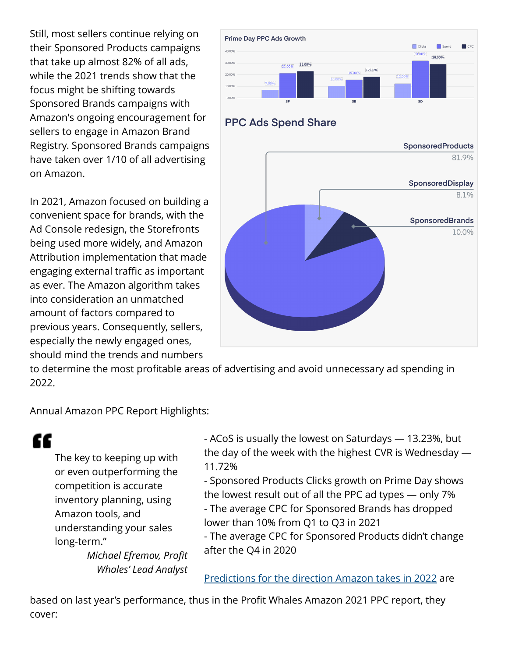Still, most sellers continue relying on their Sponsored Products campaigns that take up almost 82% of all ads, while the 2021 trends show that the focus might be shifting towards Sponsored Brands campaigns with Amazon's ongoing encouragement for sellers to engage in Amazon Brand Registry. Sponsored Brands campaigns have taken over 1/10 of all advertising on Amazon.

In 2021, Amazon focused on building a convenient space for brands, with the Ad Console redesign, the Storefronts being used more widely, and Amazon Attribution implementation that made engaging external traffic as important as ever. The Amazon algorithm takes into consideration an unmatched amount of factors compared to previous years. Consequently, sellers, especially the newly engaged ones, should mind the trends and numbers



to determine the most profitable areas of advertising and avoid unnecessary ad spending in 2022.

Annual Amazon PPC Report Highlights:

" The key to keeping up with or even outperforming the competition is accurate inventory planning, using Amazon tools, and understanding your sales long-term."

> *Michael Efremov, Profit Whales' Lead Analyst*

- ACoS is usually the lowest on Saturdays — 13.23%, but the day of the week with the highest CVR is Wednesday — 11.72%

- Sponsored Products Clicks growth on Prime Day shows the lowest result out of all the PPC ad types — only 7%

- The average CPC for Sponsored Brands has dropped lower than 10% from Q1 to Q3 in 2021

- The average CPC for Sponsored Products didn't change after the Q4 in 2020

[Predictions for the direction Amazon takes in 2022](https://profitwhales.com/archives/articles/amazon-predictions) are

based on last year's performance, thus in the Profit Whales Amazon 2021 PPC report, they cover: